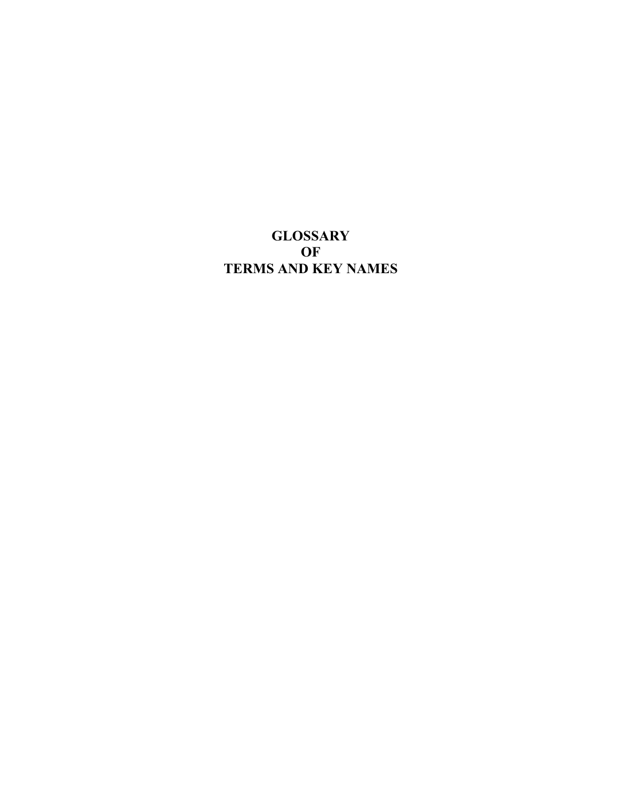## **GLOSSARY OF TERMS AND KEY NAMES**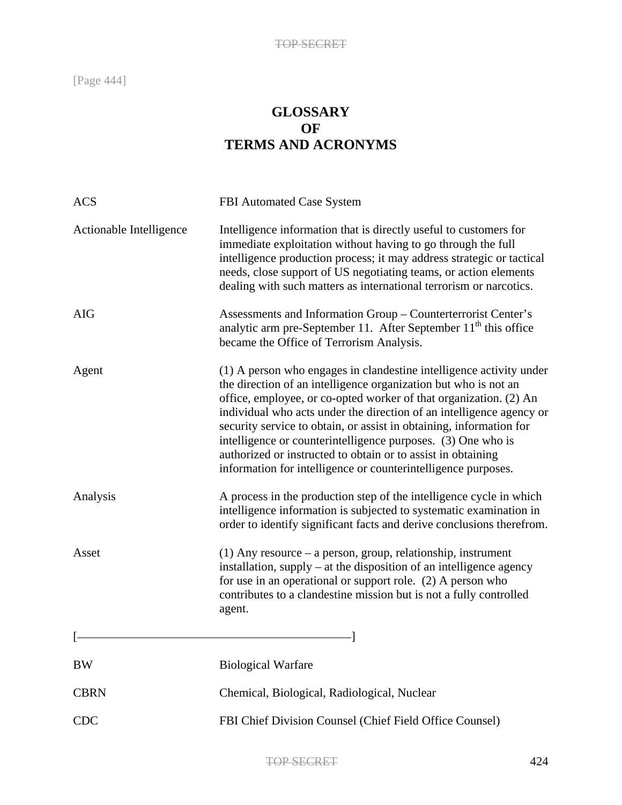## **GLOSSARY OF TERMS AND ACRONYMS**

| <b>ACS</b>              | FBI Automated Case System                                                                                                                                                                                                                                                                                                                                                                                                                                                                                                                                   |
|-------------------------|-------------------------------------------------------------------------------------------------------------------------------------------------------------------------------------------------------------------------------------------------------------------------------------------------------------------------------------------------------------------------------------------------------------------------------------------------------------------------------------------------------------------------------------------------------------|
| Actionable Intelligence | Intelligence information that is directly useful to customers for<br>immediate exploitation without having to go through the full<br>intelligence production process; it may address strategic or tactical<br>needs, close support of US negotiating teams, or action elements<br>dealing with such matters as international terrorism or narcotics.                                                                                                                                                                                                        |
| <b>AIG</b>              | Assessments and Information Group - Counterterrorist Center's<br>analytic arm pre-September 11. After September 11 <sup>th</sup> this office<br>became the Office of Terrorism Analysis.                                                                                                                                                                                                                                                                                                                                                                    |
| Agent                   | (1) A person who engages in clandestine intelligence activity under<br>the direction of an intelligence organization but who is not an<br>office, employee, or co-opted worker of that organization. (2) An<br>individual who acts under the direction of an intelligence agency or<br>security service to obtain, or assist in obtaining, information for<br>intelligence or counterintelligence purposes. (3) One who is<br>authorized or instructed to obtain or to assist in obtaining<br>information for intelligence or counterintelligence purposes. |
| Analysis                | A process in the production step of the intelligence cycle in which<br>intelligence information is subjected to systematic examination in<br>order to identify significant facts and derive conclusions therefrom.                                                                                                                                                                                                                                                                                                                                          |
| Asset                   | $(1)$ Any resource – a person, group, relationship, instrument<br>installation, supply – at the disposition of an intelligence agency<br>for use in an operational or support role. (2) A person who<br>contributes to a clandestine mission but is not a fully controlled<br>agent.                                                                                                                                                                                                                                                                        |
|                         |                                                                                                                                                                                                                                                                                                                                                                                                                                                                                                                                                             |
| <b>BW</b>               | <b>Biological Warfare</b>                                                                                                                                                                                                                                                                                                                                                                                                                                                                                                                                   |
| <b>CBRN</b>             | Chemical, Biological, Radiological, Nuclear                                                                                                                                                                                                                                                                                                                                                                                                                                                                                                                 |
| <b>CDC</b>              | FBI Chief Division Counsel (Chief Field Office Counsel)                                                                                                                                                                                                                                                                                                                                                                                                                                                                                                     |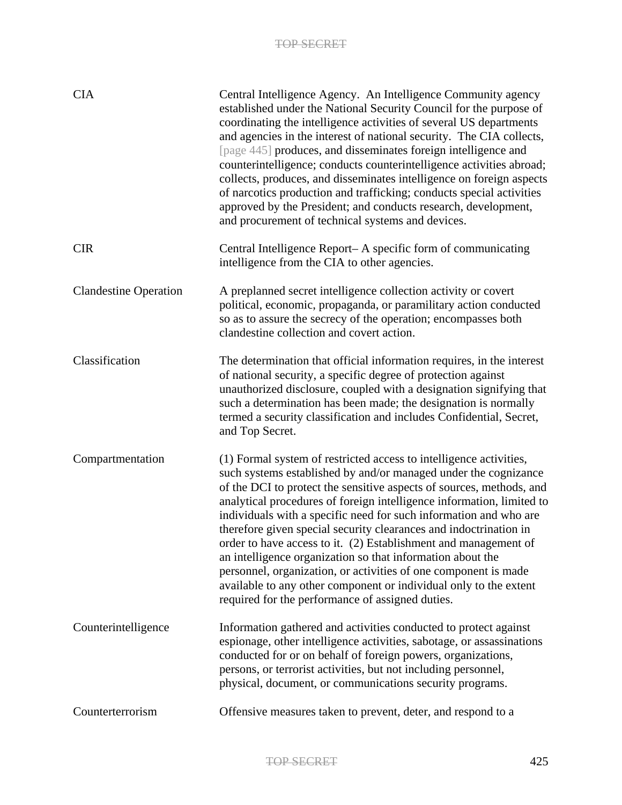| <b>CIA</b>                   | Central Intelligence Agency. An Intelligence Community agency<br>established under the National Security Council for the purpose of<br>coordinating the intelligence activities of several US departments<br>and agencies in the interest of national security. The CIA collects,<br>[page 445] produces, and disseminates foreign intelligence and<br>counterintelligence; conducts counterintelligence activities abroad;<br>collects, produces, and disseminates intelligence on foreign aspects<br>of narcotics production and trafficking; conducts special activities<br>approved by the President; and conducts research, development,<br>and procurement of technical systems and devices.                                                            |
|------------------------------|---------------------------------------------------------------------------------------------------------------------------------------------------------------------------------------------------------------------------------------------------------------------------------------------------------------------------------------------------------------------------------------------------------------------------------------------------------------------------------------------------------------------------------------------------------------------------------------------------------------------------------------------------------------------------------------------------------------------------------------------------------------|
| <b>CIR</b>                   | Central Intelligence Report– A specific form of communicating<br>intelligence from the CIA to other agencies.                                                                                                                                                                                                                                                                                                                                                                                                                                                                                                                                                                                                                                                 |
| <b>Clandestine Operation</b> | A preplanned secret intelligence collection activity or covert<br>political, economic, propaganda, or paramilitary action conducted<br>so as to assure the secrecy of the operation; encompasses both<br>clandestine collection and covert action.                                                                                                                                                                                                                                                                                                                                                                                                                                                                                                            |
| Classification               | The determination that official information requires, in the interest<br>of national security, a specific degree of protection against<br>unauthorized disclosure, coupled with a designation signifying that<br>such a determination has been made; the designation is normally<br>termed a security classification and includes Confidential, Secret,<br>and Top Secret.                                                                                                                                                                                                                                                                                                                                                                                    |
| Compartmentation             | (1) Formal system of restricted access to intelligence activities,<br>such systems established by and/or managed under the cognizance<br>of the DCI to protect the sensitive aspects of sources, methods, and<br>analytical procedures of foreign intelligence information, limited to<br>individuals with a specific need for such information and who are<br>therefore given special security clearances and indoctrination in<br>order to have access to it. (2) Establishment and management of<br>an intelligence organization so that information about the<br>personnel, organization, or activities of one component is made<br>available to any other component or individual only to the extent<br>required for the performance of assigned duties. |
| Counterintelligence          | Information gathered and activities conducted to protect against<br>espionage, other intelligence activities, sabotage, or assassinations<br>conducted for or on behalf of foreign powers, organizations,<br>persons, or terrorist activities, but not including personnel,<br>physical, document, or communications security programs.                                                                                                                                                                                                                                                                                                                                                                                                                       |
| Counterterrorism             | Offensive measures taken to prevent, deter, and respond to a                                                                                                                                                                                                                                                                                                                                                                                                                                                                                                                                                                                                                                                                                                  |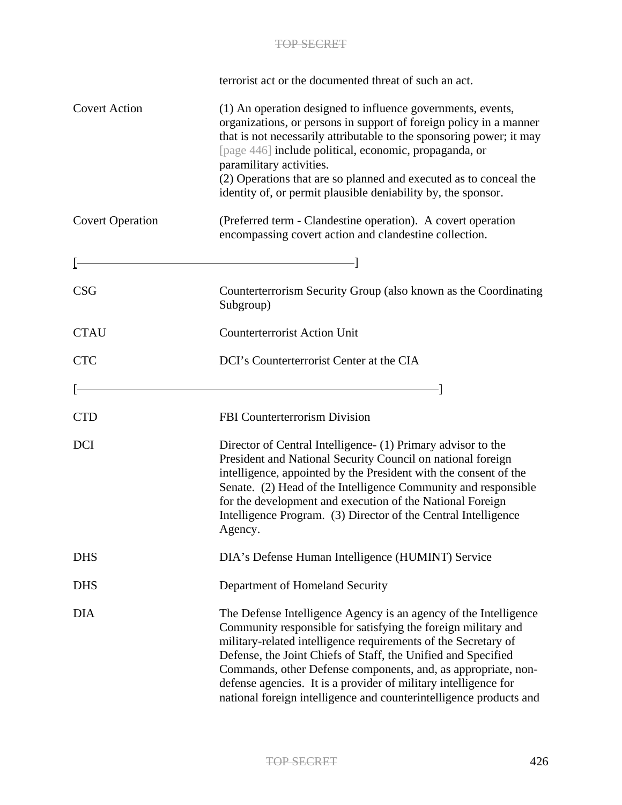|                         | terrorist act or the documented threat of such an act.                                                                                                                                                                                                                                                                                                                                                                                                                         |
|-------------------------|--------------------------------------------------------------------------------------------------------------------------------------------------------------------------------------------------------------------------------------------------------------------------------------------------------------------------------------------------------------------------------------------------------------------------------------------------------------------------------|
| <b>Covert Action</b>    | (1) An operation designed to influence governments, events,<br>organizations, or persons in support of foreign policy in a manner<br>that is not necessarily attributable to the sponsoring power; it may<br>[page 446] include political, economic, propaganda, or<br>paramilitary activities.<br>(2) Operations that are so planned and executed as to conceal the<br>identity of, or permit plausible deniability by, the sponsor.                                          |
| <b>Covert Operation</b> | (Preferred term - Clandestine operation). A covert operation<br>encompassing covert action and clandestine collection.                                                                                                                                                                                                                                                                                                                                                         |
|                         |                                                                                                                                                                                                                                                                                                                                                                                                                                                                                |
| <b>CSG</b>              | Counterterrorism Security Group (also known as the Coordinating<br>Subgroup)                                                                                                                                                                                                                                                                                                                                                                                                   |
| <b>CTAU</b>             | <b>Counterterrorist Action Unit</b>                                                                                                                                                                                                                                                                                                                                                                                                                                            |
| <b>CTC</b>              | DCI's Counterterrorist Center at the CIA                                                                                                                                                                                                                                                                                                                                                                                                                                       |
|                         |                                                                                                                                                                                                                                                                                                                                                                                                                                                                                |
| <b>CTD</b>              | FBI Counterterrorism Division                                                                                                                                                                                                                                                                                                                                                                                                                                                  |
| <b>DCI</b>              | Director of Central Intelligence (1) Primary advisor to the<br>President and National Security Council on national foreign<br>intelligence, appointed by the President with the consent of the<br>Senate. (2) Head of the Intelligence Community and responsible<br>for the development and execution of the National Foreign<br>Intelligence Program. (3) Director of the Central Intelligence<br>Agency.                                                                     |
| <b>DHS</b>              | DIA's Defense Human Intelligence (HUMINT) Service                                                                                                                                                                                                                                                                                                                                                                                                                              |
| <b>DHS</b>              | Department of Homeland Security                                                                                                                                                                                                                                                                                                                                                                                                                                                |
| <b>DIA</b>              | The Defense Intelligence Agency is an agency of the Intelligence<br>Community responsible for satisfying the foreign military and<br>military-related intelligence requirements of the Secretary of<br>Defense, the Joint Chiefs of Staff, the Unified and Specified<br>Commands, other Defense components, and, as appropriate, non-<br>defense agencies. It is a provider of military intelligence for<br>national foreign intelligence and counterintelligence products and |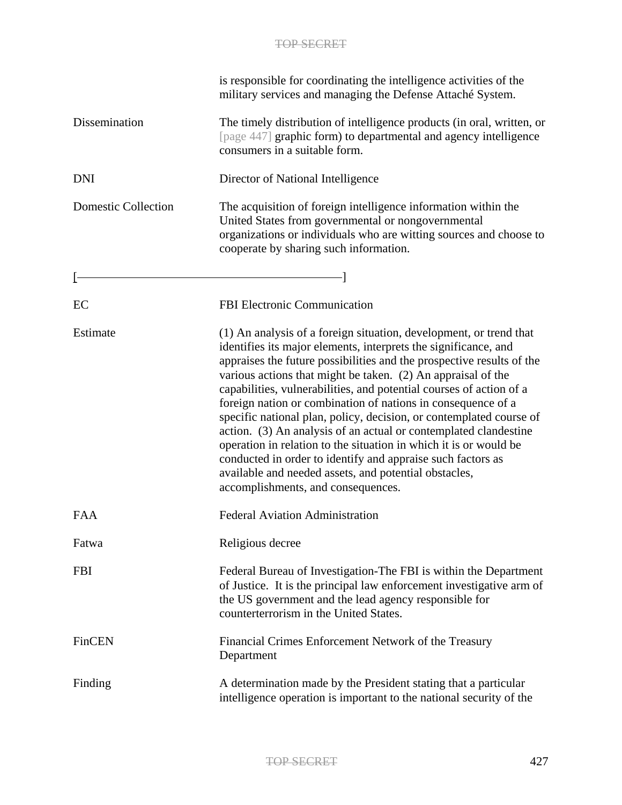|                            | is responsible for coordinating the intelligence activities of the<br>military services and managing the Defense Attaché System.                                                                                                                                                                                                                                                                                                                                                                                                                                                                                                                                                                                                                                                                    |
|----------------------------|-----------------------------------------------------------------------------------------------------------------------------------------------------------------------------------------------------------------------------------------------------------------------------------------------------------------------------------------------------------------------------------------------------------------------------------------------------------------------------------------------------------------------------------------------------------------------------------------------------------------------------------------------------------------------------------------------------------------------------------------------------------------------------------------------------|
| Dissemination              | The timely distribution of intelligence products (in oral, written, or<br>[page 447] graphic form) to departmental and agency intelligence<br>consumers in a suitable form.                                                                                                                                                                                                                                                                                                                                                                                                                                                                                                                                                                                                                         |
| <b>DNI</b>                 | Director of National Intelligence                                                                                                                                                                                                                                                                                                                                                                                                                                                                                                                                                                                                                                                                                                                                                                   |
| <b>Domestic Collection</b> | The acquisition of foreign intelligence information within the<br>United States from governmental or nongovernmental<br>organizations or individuals who are witting sources and choose to<br>cooperate by sharing such information.                                                                                                                                                                                                                                                                                                                                                                                                                                                                                                                                                                |
|                            |                                                                                                                                                                                                                                                                                                                                                                                                                                                                                                                                                                                                                                                                                                                                                                                                     |
| EC                         | <b>FBI Electronic Communication</b>                                                                                                                                                                                                                                                                                                                                                                                                                                                                                                                                                                                                                                                                                                                                                                 |
| Estimate                   | (1) An analysis of a foreign situation, development, or trend that<br>identifies its major elements, interprets the significance, and<br>appraises the future possibilities and the prospective results of the<br>various actions that might be taken. (2) An appraisal of the<br>capabilities, vulnerabilities, and potential courses of action of a<br>foreign nation or combination of nations in consequence of a<br>specific national plan, policy, decision, or contemplated course of<br>action. (3) An analysis of an actual or contemplated clandestine<br>operation in relation to the situation in which it is or would be<br>conducted in order to identify and appraise such factors as<br>available and needed assets, and potential obstacles,<br>accomplishments, and consequences. |
| <b>FAA</b>                 | <b>Federal Aviation Administration</b>                                                                                                                                                                                                                                                                                                                                                                                                                                                                                                                                                                                                                                                                                                                                                              |
| Fatwa                      | Religious decree                                                                                                                                                                                                                                                                                                                                                                                                                                                                                                                                                                                                                                                                                                                                                                                    |
| <b>FBI</b>                 | Federal Bureau of Investigation-The FBI is within the Department<br>of Justice. It is the principal law enforcement investigative arm of<br>the US government and the lead agency responsible for<br>counterterrorism in the United States.                                                                                                                                                                                                                                                                                                                                                                                                                                                                                                                                                         |
| FinCEN                     | Financial Crimes Enforcement Network of the Treasury<br>Department                                                                                                                                                                                                                                                                                                                                                                                                                                                                                                                                                                                                                                                                                                                                  |
| Finding                    | A determination made by the President stating that a particular<br>intelligence operation is important to the national security of the                                                                                                                                                                                                                                                                                                                                                                                                                                                                                                                                                                                                                                                              |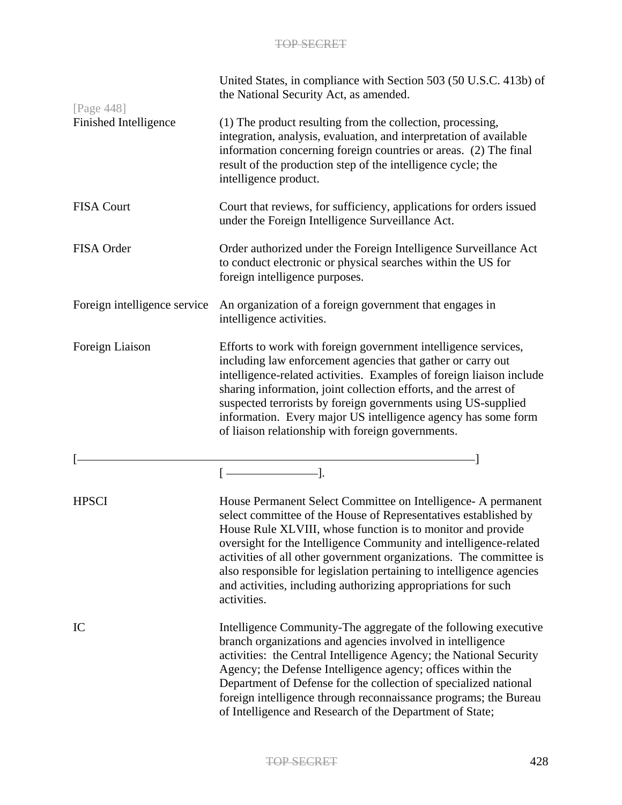| [Page 448]                   | United States, in compliance with Section 503 (50 U.S.C. 413b) of<br>the National Security Act, as amended.                                                                                                                                                                                                                                                                                                                                                                                        |
|------------------------------|----------------------------------------------------------------------------------------------------------------------------------------------------------------------------------------------------------------------------------------------------------------------------------------------------------------------------------------------------------------------------------------------------------------------------------------------------------------------------------------------------|
| Finished Intelligence        | (1) The product resulting from the collection, processing,<br>integration, analysis, evaluation, and interpretation of available<br>information concerning foreign countries or areas. (2) The final<br>result of the production step of the intelligence cycle; the<br>intelligence product.                                                                                                                                                                                                      |
| <b>FISA Court</b>            | Court that reviews, for sufficiency, applications for orders issued<br>under the Foreign Intelligence Surveillance Act.                                                                                                                                                                                                                                                                                                                                                                            |
| FISA Order                   | Order authorized under the Foreign Intelligence Surveillance Act<br>to conduct electronic or physical searches within the US for<br>foreign intelligence purposes.                                                                                                                                                                                                                                                                                                                                 |
| Foreign intelligence service | An organization of a foreign government that engages in<br>intelligence activities.                                                                                                                                                                                                                                                                                                                                                                                                                |
| Foreign Liaison              | Efforts to work with foreign government intelligence services,<br>including law enforcement agencies that gather or carry out<br>intelligence-related activities. Examples of foreign liaison include<br>sharing information, joint collection efforts, and the arrest of<br>suspected terrorists by foreign governments using US-supplied<br>information. Every major US intelligence agency has some form<br>of liaison relationship with foreign governments.                                   |
|                              |                                                                                                                                                                                                                                                                                                                                                                                                                                                                                                    |
|                              | $[$                                                                                                                                                                                                                                                                                                                                                                                                                                                                                                |
| <b>HPSCI</b>                 | House Permanent Select Committee on Intelligence- A permanent<br>select committee of the House of Representatives established by<br>House Rule XLVIII, whose function is to monitor and provide<br>oversight for the Intelligence Community and intelligence-related<br>activities of all other government organizations. The committee is<br>also responsible for legislation pertaining to intelligence agencies<br>and activities, including authorizing appropriations for such<br>activities. |
| IC                           | Intelligence Community-The aggregate of the following executive<br>branch organizations and agencies involved in intelligence<br>activities: the Central Intelligence Agency; the National Security<br>Agency; the Defense Intelligence agency; offices within the<br>Department of Defense for the collection of specialized national<br>foreign intelligence through reconnaissance programs; the Bureau<br>of Intelligence and Research of the Department of State;                             |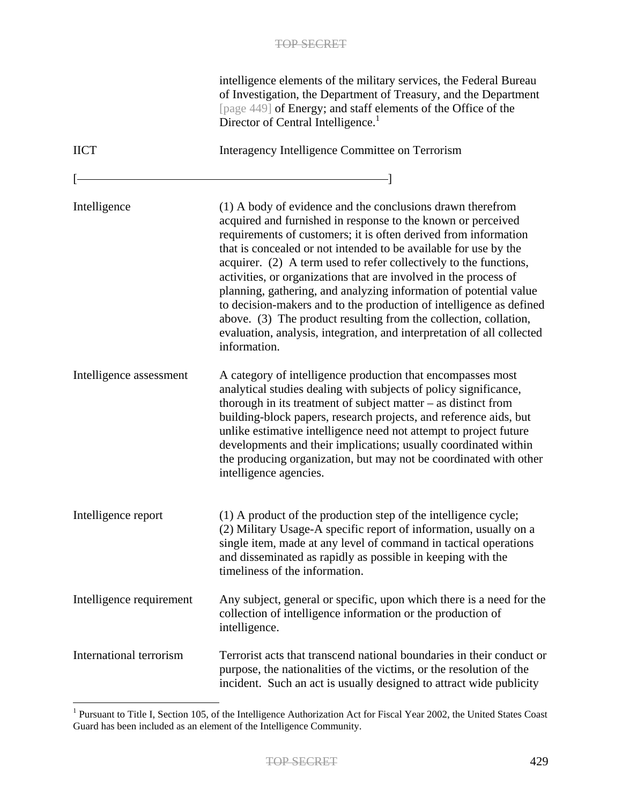|                          | intelligence elements of the military services, the Federal Bureau<br>of Investigation, the Department of Treasury, and the Department<br>[page 449] of Energy; and staff elements of the Office of the<br>Director of Central Intelligence. <sup>1</sup>                                                                                                                                                                                                                                                                                                                                                                                                                                                            |
|--------------------------|----------------------------------------------------------------------------------------------------------------------------------------------------------------------------------------------------------------------------------------------------------------------------------------------------------------------------------------------------------------------------------------------------------------------------------------------------------------------------------------------------------------------------------------------------------------------------------------------------------------------------------------------------------------------------------------------------------------------|
| <b>IICT</b>              | Interagency Intelligence Committee on Terrorism                                                                                                                                                                                                                                                                                                                                                                                                                                                                                                                                                                                                                                                                      |
|                          |                                                                                                                                                                                                                                                                                                                                                                                                                                                                                                                                                                                                                                                                                                                      |
| Intelligence             | (1) A body of evidence and the conclusions drawn therefrom<br>acquired and furnished in response to the known or perceived<br>requirements of customers; it is often derived from information<br>that is concealed or not intended to be available for use by the<br>acquirer. (2) A term used to refer collectively to the functions,<br>activities, or organizations that are involved in the process of<br>planning, gathering, and analyzing information of potential value<br>to decision-makers and to the production of intelligence as defined<br>above. (3) The product resulting from the collection, collation,<br>evaluation, analysis, integration, and interpretation of all collected<br>information. |
| Intelligence assessment  | A category of intelligence production that encompasses most<br>analytical studies dealing with subjects of policy significance,<br>thorough in its treatment of subject matter $-$ as distinct from<br>building-block papers, research projects, and reference aids, but<br>unlike estimative intelligence need not attempt to project future<br>developments and their implications; usually coordinated within<br>the producing organization, but may not be coordinated with other<br>intelligence agencies.                                                                                                                                                                                                      |
| Intelligence report      | (1) A product of the production step of the intelligence cycle;<br>(2) Military Usage-A specific report of information, usually on a<br>single item, made at any level of command in tactical operations<br>and disseminated as rapidly as possible in keeping with the<br>timeliness of the information.                                                                                                                                                                                                                                                                                                                                                                                                            |
| Intelligence requirement | Any subject, general or specific, upon which there is a need for the<br>collection of intelligence information or the production of<br>intelligence.                                                                                                                                                                                                                                                                                                                                                                                                                                                                                                                                                                 |
| International terrorism  | Terrorist acts that transcend national boundaries in their conduct or<br>purpose, the nationalities of the victims, or the resolution of the<br>incident. Such an act is usually designed to attract wide publicity                                                                                                                                                                                                                                                                                                                                                                                                                                                                                                  |

<sup>&</sup>lt;sup>1</sup> Pursuant to Title I, Section 105, of the Intelligence Authorization Act for Fiscal Year 2002, the United States Coast Guard has been included as an element of the Intelligence Community.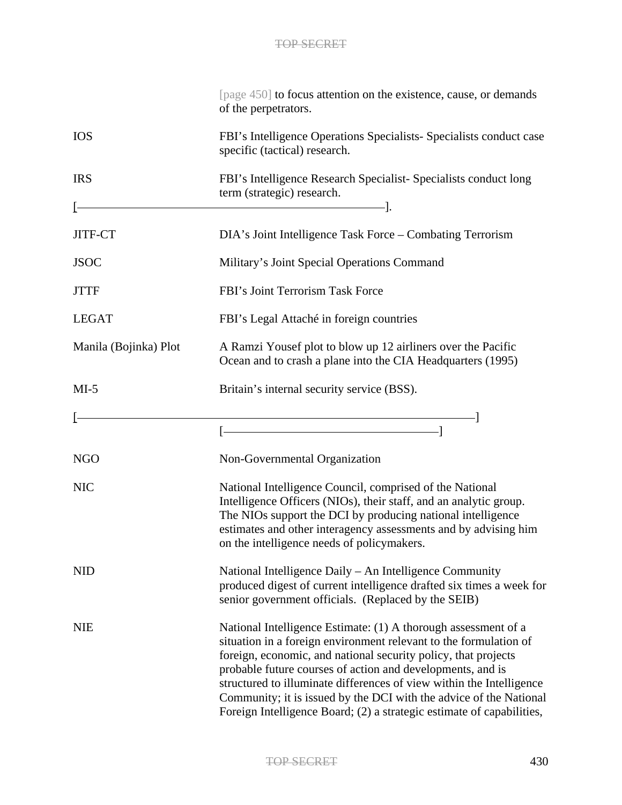|                       | [page 450] to focus attention on the existence, cause, or demands<br>of the perpetrators.                                                                                                                                                                                                                                                                                                                                                                                                  |
|-----------------------|--------------------------------------------------------------------------------------------------------------------------------------------------------------------------------------------------------------------------------------------------------------------------------------------------------------------------------------------------------------------------------------------------------------------------------------------------------------------------------------------|
| <b>IOS</b>            | FBI's Intelligence Operations Specialists- Specialists conduct case<br>specific (tactical) research.                                                                                                                                                                                                                                                                                                                                                                                       |
| <b>IRS</b>            | FBI's Intelligence Research Specialist-Specialists conduct long<br>term (strategic) research.                                                                                                                                                                                                                                                                                                                                                                                              |
|                       | -1.                                                                                                                                                                                                                                                                                                                                                                                                                                                                                        |
| JITF-CT               | DIA's Joint Intelligence Task Force - Combating Terrorism                                                                                                                                                                                                                                                                                                                                                                                                                                  |
| <b>JSOC</b>           | Military's Joint Special Operations Command                                                                                                                                                                                                                                                                                                                                                                                                                                                |
| <b>JTTF</b>           | FBI's Joint Terrorism Task Force                                                                                                                                                                                                                                                                                                                                                                                                                                                           |
| <b>LEGAT</b>          | FBI's Legal Attaché in foreign countries                                                                                                                                                                                                                                                                                                                                                                                                                                                   |
| Manila (Bojinka) Plot | A Ramzi Yousef plot to blow up 12 airliners over the Pacific<br>Ocean and to crash a plane into the CIA Headquarters (1995)                                                                                                                                                                                                                                                                                                                                                                |
| $MI-5$                | Britain's internal security service (BSS).                                                                                                                                                                                                                                                                                                                                                                                                                                                 |
|                       |                                                                                                                                                                                                                                                                                                                                                                                                                                                                                            |
| <b>NGO</b>            | Non-Governmental Organization                                                                                                                                                                                                                                                                                                                                                                                                                                                              |
| <b>NIC</b>            | National Intelligence Council, comprised of the National<br>Intelligence Officers (NIOs), their staff, and an analytic group.<br>The NIOs support the DCI by producing national intelligence<br>estimates and other interagency assessments and by advising him<br>on the intelligence needs of policymakers.                                                                                                                                                                              |
| <b>NID</b>            | National Intelligence Daily – An Intelligence Community<br>produced digest of current intelligence drafted six times a week for<br>senior government officials. (Replaced by the SEIB)                                                                                                                                                                                                                                                                                                     |
| <b>NIE</b>            | National Intelligence Estimate: (1) A thorough assessment of a<br>situation in a foreign environment relevant to the formulation of<br>foreign, economic, and national security policy, that projects<br>probable future courses of action and developments, and is<br>structured to illuminate differences of view within the Intelligence<br>Community; it is issued by the DCI with the advice of the National<br>Foreign Intelligence Board; (2) a strategic estimate of capabilities, |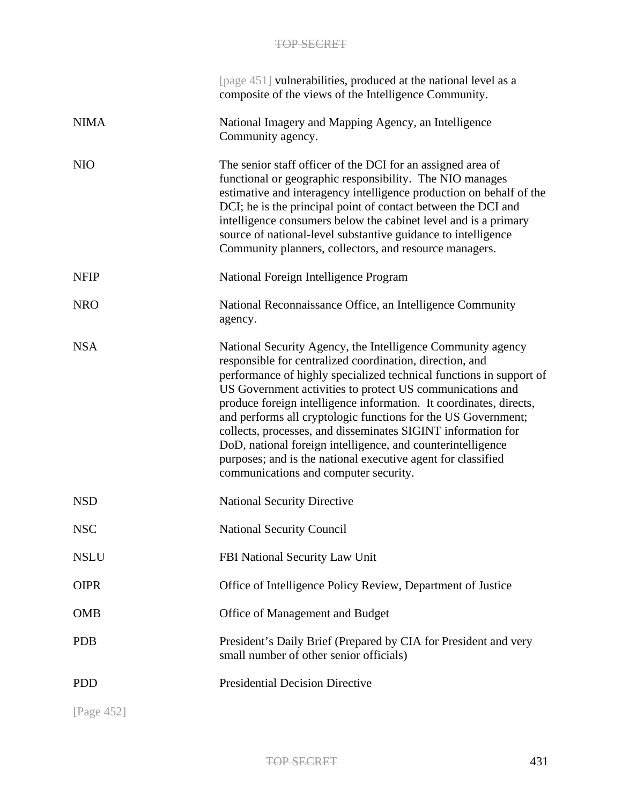|             | [page 451] vulnerabilities, produced at the national level as a<br>composite of the views of the Intelligence Community.                                                                                                                                                                                                                                                                                                                                                                                                                                                                                                                   |
|-------------|--------------------------------------------------------------------------------------------------------------------------------------------------------------------------------------------------------------------------------------------------------------------------------------------------------------------------------------------------------------------------------------------------------------------------------------------------------------------------------------------------------------------------------------------------------------------------------------------------------------------------------------------|
| <b>NIMA</b> | National Imagery and Mapping Agency, an Intelligence<br>Community agency.                                                                                                                                                                                                                                                                                                                                                                                                                                                                                                                                                                  |
| <b>NIO</b>  | The senior staff officer of the DCI for an assigned area of<br>functional or geographic responsibility. The NIO manages<br>estimative and interagency intelligence production on behalf of the<br>DCI; he is the principal point of contact between the DCI and<br>intelligence consumers below the cabinet level and is a primary<br>source of national-level substantive guidance to intelligence<br>Community planners, collectors, and resource managers.                                                                                                                                                                              |
| <b>NFIP</b> | National Foreign Intelligence Program                                                                                                                                                                                                                                                                                                                                                                                                                                                                                                                                                                                                      |
| <b>NRO</b>  | National Reconnaissance Office, an Intelligence Community<br>agency.                                                                                                                                                                                                                                                                                                                                                                                                                                                                                                                                                                       |
| <b>NSA</b>  | National Security Agency, the Intelligence Community agency<br>responsible for centralized coordination, direction, and<br>performance of highly specialized technical functions in support of<br>US Government activities to protect US communications and<br>produce foreign intelligence information. It coordinates, directs,<br>and performs all cryptologic functions for the US Government;<br>collects, processes, and disseminates SIGINT information for<br>DoD, national foreign intelligence, and counterintelligence<br>purposes; and is the national executive agent for classified<br>communications and computer security. |
| <b>NSD</b>  | <b>National Security Directive</b>                                                                                                                                                                                                                                                                                                                                                                                                                                                                                                                                                                                                         |
| <b>NSC</b>  | <b>National Security Council</b>                                                                                                                                                                                                                                                                                                                                                                                                                                                                                                                                                                                                           |
| <b>NSLU</b> | FBI National Security Law Unit                                                                                                                                                                                                                                                                                                                                                                                                                                                                                                                                                                                                             |
| <b>OIPR</b> | Office of Intelligence Policy Review, Department of Justice                                                                                                                                                                                                                                                                                                                                                                                                                                                                                                                                                                                |
| <b>OMB</b>  | Office of Management and Budget                                                                                                                                                                                                                                                                                                                                                                                                                                                                                                                                                                                                            |
| <b>PDB</b>  | President's Daily Brief (Prepared by CIA for President and very<br>small number of other senior officials)                                                                                                                                                                                                                                                                                                                                                                                                                                                                                                                                 |
| <b>PDD</b>  | <b>Presidential Decision Directive</b>                                                                                                                                                                                                                                                                                                                                                                                                                                                                                                                                                                                                     |
| [Page 452]  |                                                                                                                                                                                                                                                                                                                                                                                                                                                                                                                                                                                                                                            |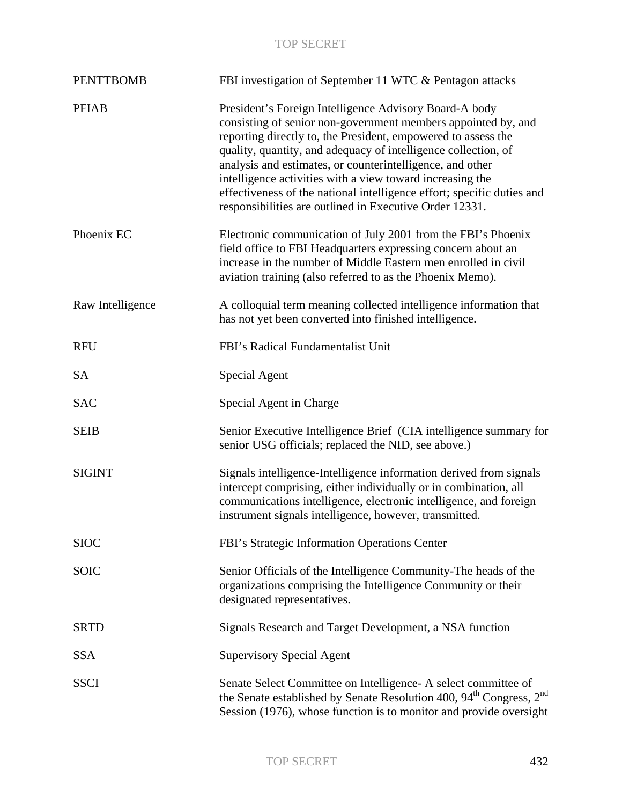| <b>PENTTBOMB</b> | FBI investigation of September 11 WTC & Pentagon attacks                                                                                                                                                                                                                                                                                                                                                                                                                                                                  |
|------------------|---------------------------------------------------------------------------------------------------------------------------------------------------------------------------------------------------------------------------------------------------------------------------------------------------------------------------------------------------------------------------------------------------------------------------------------------------------------------------------------------------------------------------|
| <b>PFIAB</b>     | President's Foreign Intelligence Advisory Board-A body<br>consisting of senior non-government members appointed by, and<br>reporting directly to, the President, empowered to assess the<br>quality, quantity, and adequacy of intelligence collection, of<br>analysis and estimates, or counterintelligence, and other<br>intelligence activities with a view toward increasing the<br>effectiveness of the national intelligence effort; specific duties and<br>responsibilities are outlined in Executive Order 12331. |
| Phoenix EC       | Electronic communication of July 2001 from the FBI's Phoenix<br>field office to FBI Headquarters expressing concern about an<br>increase in the number of Middle Eastern men enrolled in civil<br>aviation training (also referred to as the Phoenix Memo).                                                                                                                                                                                                                                                               |
| Raw Intelligence | A colloquial term meaning collected intelligence information that<br>has not yet been converted into finished intelligence.                                                                                                                                                                                                                                                                                                                                                                                               |
| <b>RFU</b>       | FBI's Radical Fundamentalist Unit                                                                                                                                                                                                                                                                                                                                                                                                                                                                                         |
| <b>SA</b>        | Special Agent                                                                                                                                                                                                                                                                                                                                                                                                                                                                                                             |
| <b>SAC</b>       | Special Agent in Charge                                                                                                                                                                                                                                                                                                                                                                                                                                                                                                   |
| <b>SEIB</b>      | Senior Executive Intelligence Brief (CIA intelligence summary for<br>senior USG officials; replaced the NID, see above.)                                                                                                                                                                                                                                                                                                                                                                                                  |
| <b>SIGINT</b>    | Signals intelligence-Intelligence information derived from signals<br>intercept comprising, either individually or in combination, all<br>communications intelligence, electronic intelligence, and foreign<br>instrument signals intelligence, however, transmitted.                                                                                                                                                                                                                                                     |
| <b>SIOC</b>      | FBI's Strategic Information Operations Center                                                                                                                                                                                                                                                                                                                                                                                                                                                                             |
| <b>SOIC</b>      | Senior Officials of the Intelligence Community-The heads of the<br>organizations comprising the Intelligence Community or their<br>designated representatives.                                                                                                                                                                                                                                                                                                                                                            |
| <b>SRTD</b>      | Signals Research and Target Development, a NSA function                                                                                                                                                                                                                                                                                                                                                                                                                                                                   |
| <b>SSA</b>       | <b>Supervisory Special Agent</b>                                                                                                                                                                                                                                                                                                                                                                                                                                                                                          |
| <b>SSCI</b>      | Senate Select Committee on Intelligence - A select committee of<br>the Senate established by Senate Resolution 400, 94 <sup>th</sup> Congress, 2 <sup>nd</sup><br>Session (1976), whose function is to monitor and provide oversight                                                                                                                                                                                                                                                                                      |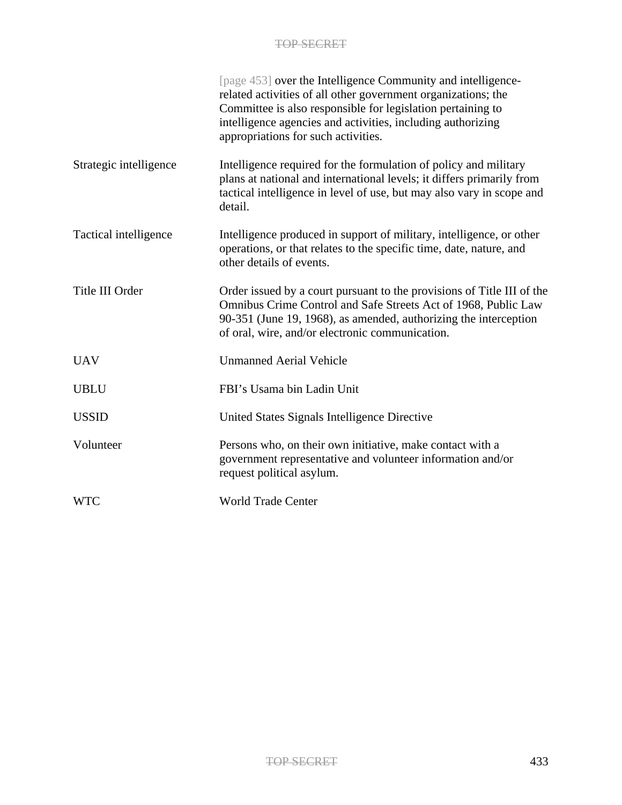|                        | [page 453] over the Intelligence Community and intelligence-<br>related activities of all other government organizations; the<br>Committee is also responsible for legislation pertaining to<br>intelligence agencies and activities, including authorizing<br>appropriations for such activities. |
|------------------------|----------------------------------------------------------------------------------------------------------------------------------------------------------------------------------------------------------------------------------------------------------------------------------------------------|
| Strategic intelligence | Intelligence required for the formulation of policy and military<br>plans at national and international levels; it differs primarily from<br>tactical intelligence in level of use, but may also vary in scope and<br>detail.                                                                      |
| Tactical intelligence  | Intelligence produced in support of military, intelligence, or other<br>operations, or that relates to the specific time, date, nature, and<br>other details of events.                                                                                                                            |
| Title III Order        | Order issued by a court pursuant to the provisions of Title III of the<br>Omnibus Crime Control and Safe Streets Act of 1968, Public Law<br>90-351 (June 19, 1968), as amended, authorizing the interception<br>of oral, wire, and/or electronic communication.                                    |
| <b>UAV</b>             | <b>Unmanned Aerial Vehicle</b>                                                                                                                                                                                                                                                                     |
| <b>UBLU</b>            | FBI's Usama bin Ladin Unit                                                                                                                                                                                                                                                                         |
| <b>USSID</b>           | United States Signals Intelligence Directive                                                                                                                                                                                                                                                       |
| Volunteer              | Persons who, on their own initiative, make contact with a<br>government representative and volunteer information and/or<br>request political asylum.                                                                                                                                               |
| <b>WTC</b>             | <b>World Trade Center</b>                                                                                                                                                                                                                                                                          |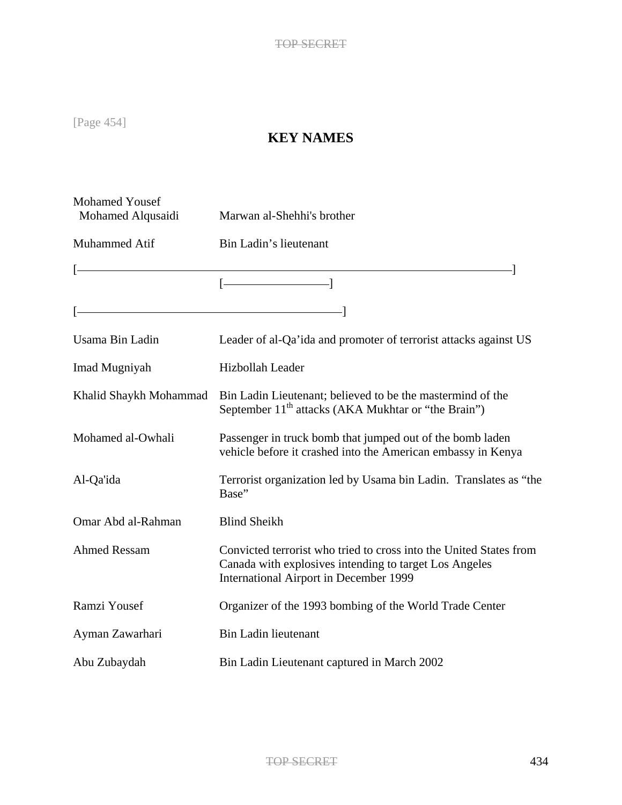[Page 454]

# **KEY NAMES**

| <b>Mohamed Yousef</b><br>Mohamed Alqusaidi | Marwan al-Shehhi's brother                                                                                                                                             |
|--------------------------------------------|------------------------------------------------------------------------------------------------------------------------------------------------------------------------|
| Muhammed Atif                              | Bin Ladin's lieutenant                                                                                                                                                 |
|                                            |                                                                                                                                                                        |
|                                            |                                                                                                                                                                        |
|                                            |                                                                                                                                                                        |
| Usama Bin Ladin                            | Leader of al-Qa'ida and promoter of terrorist attacks against US                                                                                                       |
| Imad Mugniyah                              | Hizbollah Leader                                                                                                                                                       |
| Khalid Shaykh Mohammad                     | Bin Ladin Lieutenant; believed to be the mastermind of the<br>September 11 <sup>th</sup> attacks (AKA Mukhtar or "the Brain")                                          |
| Mohamed al-Owhali                          | Passenger in truck bomb that jumped out of the bomb laden<br>vehicle before it crashed into the American embassy in Kenya                                              |
| Al-Qa'ida                                  | Terrorist organization led by Usama bin Ladin. Translates as "the<br>Base"                                                                                             |
| Omar Abd al-Rahman                         | <b>Blind Sheikh</b>                                                                                                                                                    |
| <b>Ahmed Ressam</b>                        | Convicted terrorist who tried to cross into the United States from<br>Canada with explosives intending to target Los Angeles<br>International Airport in December 1999 |
| Ramzi Yousef                               | Organizer of the 1993 bombing of the World Trade Center                                                                                                                |
| Ayman Zawarhari                            | <b>Bin Ladin lieutenant</b>                                                                                                                                            |
| Abu Zubaydah                               | Bin Ladin Lieutenant captured in March 2002                                                                                                                            |